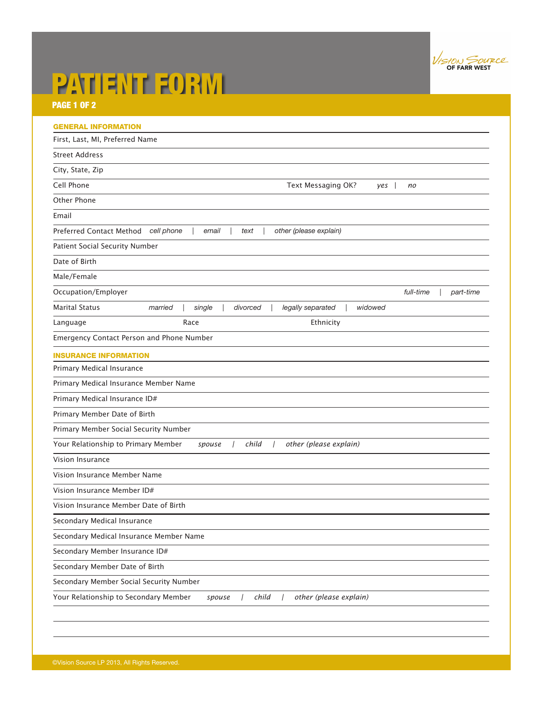

# PATIENT FORM

PAGE 1 OF 2

| <b>GENERAL INFORMATION</b>              |                                                                                    |
|-----------------------------------------|------------------------------------------------------------------------------------|
| First, Last, MI, Preferred Name         |                                                                                    |
| <b>Street Address</b>                   |                                                                                    |
| City, State, Zip                        |                                                                                    |
| Cell Phone                              | Text Messaging OK?<br>yes<br>no                                                    |
| Other Phone                             |                                                                                    |
| Email                                   |                                                                                    |
| Preferred Contact Method                | cell phone<br>email<br>other (please explain)<br>text                              |
| Patient Social Security Number          |                                                                                    |
| Date of Birth                           |                                                                                    |
| Male/Female                             |                                                                                    |
| Occupation/Employer                     | full-time<br>part-time                                                             |
| <b>Marital Status</b>                   | legally separated<br>widowed<br>married<br>single<br>divorced                      |
| Language                                | Race<br>Ethnicity                                                                  |
|                                         | Emergency Contact Person and Phone Number                                          |
| <b>INSURANCE INFORMATION</b>            |                                                                                    |
| Primary Medical Insurance               |                                                                                    |
| Primary Medical Insurance Member Name   |                                                                                    |
| Primary Medical Insurance ID#           |                                                                                    |
| Primary Member Date of Birth            |                                                                                    |
| Primary Member Social Security Number   |                                                                                    |
| Your Relationship to Primary Member     | child<br>other (please explain)<br>spouse                                          |
| Vision Insurance                        |                                                                                    |
| Vision Insurance Member Name            |                                                                                    |
| Vision Insurance Member ID#             |                                                                                    |
| Vision Insurance Member Date of Birth   |                                                                                    |
| Secondary Medical Insurance             |                                                                                    |
|                                         | Secondary Medical Insurance Member Name                                            |
| Secondary Member Insurance ID#          |                                                                                    |
| Secondary Member Date of Birth          |                                                                                    |
| Secondary Member Social Security Number |                                                                                    |
|                                         | Your Relationship to Secondary Member<br>child<br>other (please explain)<br>spouse |